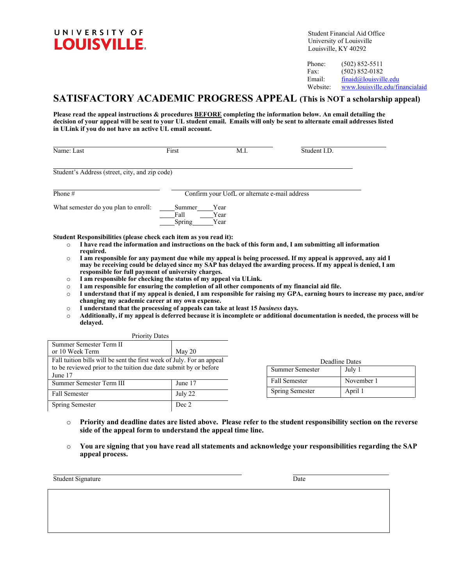

Student Financial Aid Office University of Louisville Louisville, KY 40292

Phone: (502) 852-5511 Fax: (502) 852-0182 Email: [finaid@louisville.edu](mailto:finaid@louisville.edu)<br>Website: www.louisville.edu/fi Website: [www.louisville.edu/financialaid](http://www.louisville.edu/financialaid)

# **SATISFACTORY ACADEMIC PROGRESS APPEAL (This is NOT a scholarship appeal)**

**Please read the appeal instructions & procedures BEFORE completing the information below. An email detailing the decision of your appeal will be sent to your UL student email. Emails will only be sent to alternate email addresses listed in ULink if you do not have an active UL email account.**

| Name: Last                                     | First                                         | M.I.                 | Student I.D. |  |
|------------------------------------------------|-----------------------------------------------|----------------------|--------------|--|
| Student's Address (street, city, and zip code) |                                               |                      |              |  |
| Phone #                                        | Confirm your UofL or alternate e-mail address |                      |              |  |
| What semester do you plan to enroll:           | Summer<br>Fall<br>Spring                      | Year<br>Year<br>Year |              |  |

- o **I have read the information and instructions on the back of this form and, I am submitting all information required.**
- o **I am responsible for any payment due while my appeal is being processed. If my appeal is approved, any aid I may be receiving could be delayed since my SAP has delayed the awarding process. If my appeal is denied, I am responsible for full payment of university charges.**
- o **I am responsible for checking the status of my appeal via ULink.**
- o **I am responsible for ensuring the completion of all other components of my financial aid file.**
- o **I understand that if my appeal is denied, I am responsible for raising my GPA, earning hours to increase my pace, and/or changing my academic career at my own expense.**
- o **I understand that the processing of appeals can take at least 15** *business* **days.**
- Additionally, if my appeal is deferred because it is incomplete or additional documentation is needed, the process will be **delayed.**

| <b>Priority Dates</b>                                                 |         |  |  |
|-----------------------------------------------------------------------|---------|--|--|
| Summer Semester Term II                                               |         |  |  |
| or 10 Week Term                                                       | May 20  |  |  |
| Fall tuition bills will be sent the first week of July. For an appeal |         |  |  |
| to be reviewed prior to the tuition due date submit by or before      |         |  |  |
| June 17                                                               |         |  |  |
| Summer Semester Term III                                              | June 17 |  |  |
| <b>Fall Semester</b>                                                  | July 22 |  |  |
| Spring Semester                                                       | Dec 2   |  |  |

| Deadline Dates       |            |  |  |
|----------------------|------------|--|--|
| Summer Semester      | July 1     |  |  |
| <b>Fall Semester</b> | November 1 |  |  |
| Spring Semester      | April 1    |  |  |

- o **Priority and deadline dates are listed above. Please refer to the student responsibility section on the reverse side of the appeal form to understand the appeal time line.**
- o **You are signing that you have read all statements and acknowledge your responsibilities regarding the SAP appeal process.**

Student Signature Date Date of the United Student Student Signature Date Date